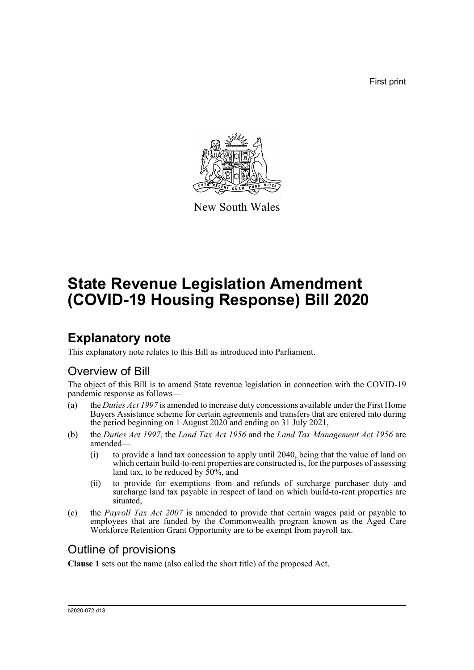First print



New South Wales

# **State Revenue Legislation Amendment (COVID-19 Housing Response) Bill 2020**

## **Explanatory note**

This explanatory note relates to this Bill as introduced into Parliament.

### Overview of Bill

The object of this Bill is to amend State revenue legislation in connection with the COVID-19 pandemic response as follows—

- (a) the *Duties Act 1997* is amended to increase duty concessions available under the First Home Buyers Assistance scheme for certain agreements and transfers that are entered into during the period beginning on 1 August 2020 and ending on 31 July 2021,
- (b) the *Duties Act 1997*, the *Land Tax Act 1956* and the *Land Tax Management Act 1956* are amended—
	- (i) to provide a land tax concession to apply until 2040, being that the value of land on which certain build-to-rent properties are constructed is, for the purposes of assessing land tax, to be reduced by  $50\%$ , and
	- (ii) to provide for exemptions from and refunds of surcharge purchaser duty and surcharge land tax payable in respect of land on which build-to-rent properties are situated,
- (c) the *Payroll Tax Act 2007* is amended to provide that certain wages paid or payable to employees that are funded by the Commonwealth program known as the Aged Care Workforce Retention Grant Opportunity are to be exempt from payroll tax.

### Outline of provisions

**Clause 1** sets out the name (also called the short title) of the proposed Act.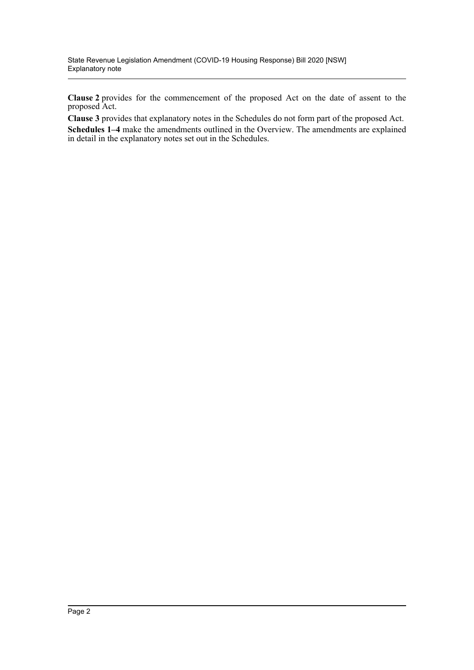**Clause 2** provides for the commencement of the proposed Act on the date of assent to the proposed Act.

**Clause 3** provides that explanatory notes in the Schedules do not form part of the proposed Act. **Schedules 1–4** make the amendments outlined in the Overview. The amendments are explained in detail in the explanatory notes set out in the Schedules.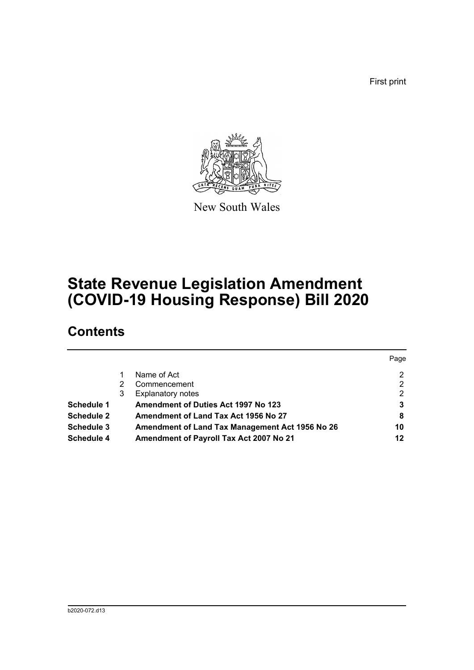First print



New South Wales

## **State Revenue Legislation Amendment (COVID-19 Housing Response) Bill 2020**

## **Contents**

|                   |   |                                                 | Page |
|-------------------|---|-------------------------------------------------|------|
|                   |   | Name of Act                                     | 2    |
|                   |   | Commencement                                    | 2    |
|                   | 3 | <b>Explanatory notes</b>                        | 2    |
| Schedule 1        |   | <b>Amendment of Duties Act 1997 No 123</b>      | 3    |
| <b>Schedule 2</b> |   | Amendment of Land Tax Act 1956 No 27            | 8    |
| <b>Schedule 3</b> |   | Amendment of Land Tax Management Act 1956 No 26 | 10   |
| Schedule 4        |   | Amendment of Payroll Tax Act 2007 No 21         | 12   |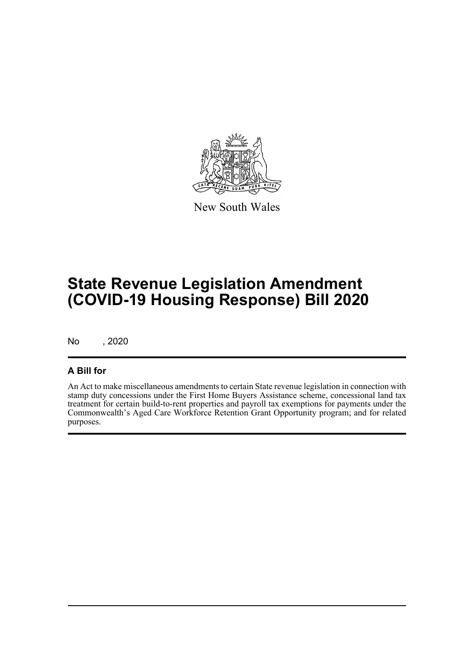

New South Wales

## **State Revenue Legislation Amendment (COVID-19 Housing Response) Bill 2020**

No , 2020

### **A Bill for**

An Act to make miscellaneous amendments to certain State revenue legislation in connection with stamp duty concessions under the First Home Buyers Assistance scheme, concessional land tax treatment for certain build-to-rent properties and payroll tax exemptions for payments under the Commonwealth's Aged Care Workforce Retention Grant Opportunity program; and for related purposes.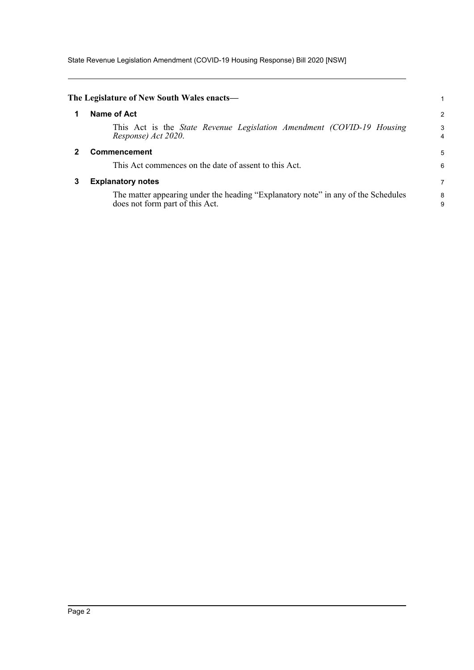State Revenue Legislation Amendment (COVID-19 Housing Response) Bill 2020 [NSW]

<span id="page-4-2"></span><span id="page-4-1"></span><span id="page-4-0"></span>

|   | The Legislature of New South Wales enacts-                                                                           |                |
|---|----------------------------------------------------------------------------------------------------------------------|----------------|
|   | Name of Act                                                                                                          | $\overline{2}$ |
|   | This Act is the State Revenue Legislation Amendment (COVID-19 Housing<br>Response) Act 2020.                         | 3<br>4         |
|   | <b>Commencement</b>                                                                                                  | 5              |
|   | This Act commences on the date of assent to this Act.                                                                | 6              |
| 3 | <b>Explanatory notes</b>                                                                                             | 7              |
|   | The matter appearing under the heading "Explanatory note" in any of the Schedules<br>does not form part of this Act. | 8<br>9         |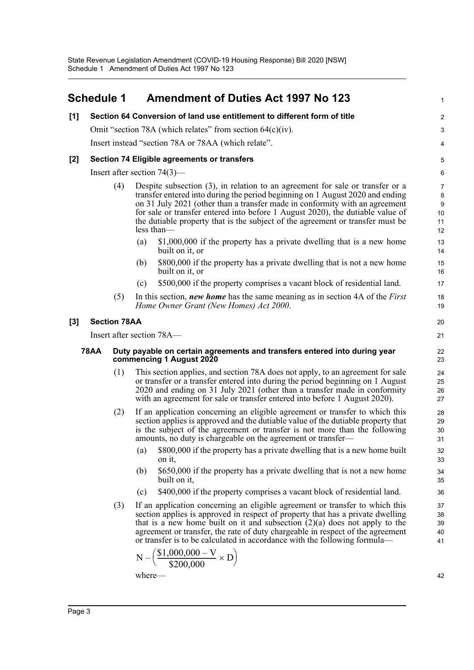#### <span id="page-5-0"></span>**Schedule 1 Amendment of Duties Act 1997 No 123 [1] Section 64 Conversion of land use entitlement to different form of title** Omit "section 78A (which relates" from section 64(c)(iv). Insert instead "section 78A or 78AA (which relate". **[2] Section 74 Eligible agreements or transfers** Insert after section 74(3)— (4) Despite subsection (3), in relation to an agreement for sale or transfer or a transfer entered into during the period beginning on 1 August 2020 and ending on 31 July 2021 (other than a transfer made in conformity with an agreement for sale or transfer entered into before 1 August 2020), the dutiable value of the dutiable property that is the subject of the agreement or transfer must be less than— (a) \$1,000,000 if the property has a private dwelling that is a new home built on it, or (b) \$800,000 if the property has a private dwelling that is not a new home built on it, or (c) \$500,000 if the property comprises a vacant block of residential land. (5) In this section, *new home* has the same meaning as in section 4A of the *First Home Owner Grant (New Homes) Act 2000*. **[3] Section 78AA** Insert after section 78A— **78AA Duty payable on certain agreements and transfers entered into during year commencing 1 August 2020** (1) This section applies, and section 78A does not apply, to an agreement for sale or transfer or a transfer entered into during the period beginning on 1 August 2020 and ending on 31 July 2021 (other than a transfer made in conformity with an agreement for sale or transfer entered into before 1 August 2020). (2) If an application concerning an eligible agreement or transfer to which this section applies is approved and the dutiable value of the dutiable property that is the subject of the agreement or transfer is not more than the following amounts, no duty is chargeable on the agreement or transfer— (a) \$800,000 if the property has a private dwelling that is a new home built on it, (b) \$650,000 if the property has a private dwelling that is not a new home built on it, (c) \$400,000 if the property comprises a vacant block of residential land. (3) If an application concerning an eligible agreement or transfer to which this section applies is approved in respect of property that has a private dwelling that is a new home built on it and subsection  $(2)(a)$  does not apply to the agreement or transfer, the rate of duty chargeable in respect of the agreement or transfer is to be calculated in accordance with the following formula— 1  $\overline{2}$ 3 4 5 6 7 8 9 10 11 12 13 14 15 16 17 18 19 20 21  $22$ 23 24 25 26 27 28 29 30 31 32 33 34 35 36 37 38 39 40 41  $\rm N-\biggl( \frac{\$1,000,000-V}{\$200,000} \times D \biggr)$

where—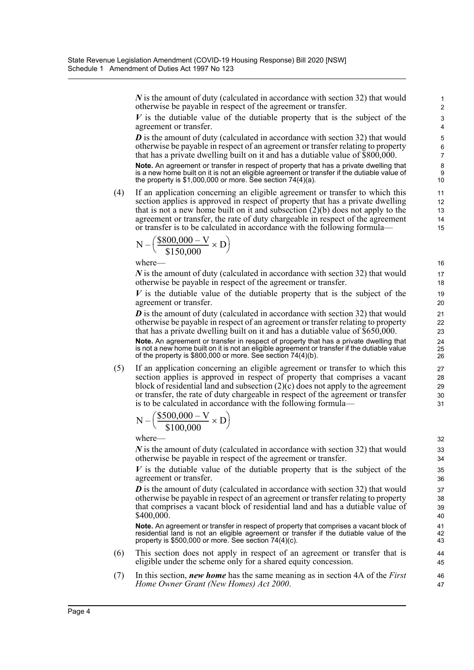*N* is the amount of duty (calculated in accordance with section 32) that would otherwise be payable in respect of the agreement or transfer.

*V* is the dutiable value of the dutiable property that is the subject of the agreement or transfer.

*D* is the amount of duty (calculated in accordance with section 32) that would otherwise be payable in respect of an agreement or transfer relating to property that has a private dwelling built on it and has a dutiable value of \$800,000.

**Note.** An agreement or transfer in respect of property that has a private dwelling that is a new home built on it is not an eligible agreement or transfer if the dutiable value of the property is \$1,000,000 or more. See section 74(4)(a).

(4) If an application concerning an eligible agreement or transfer to which this section applies is approved in respect of property that has a private dwelling that is not a new home built on it and subsection  $(2)(b)$  does not apply to the agreement or transfer, the rate of duty chargeable in respect of the agreement or transfer is to be calculated in accordance with the following formula—

$$
N - \left(\frac{\$800,000 - V}{\$150,000} \times D\right)
$$

where—

*N* is the amount of duty (calculated in accordance with section 32) that would otherwise be payable in respect of the agreement or transfer.

*V* is the dutiable value of the dutiable property that is the subject of the agreement or transfer.

*D* is the amount of duty (calculated in accordance with section 32) that would otherwise be payable in respect of an agreement or transfer relating to property that has a private dwelling built on it and has a dutiable value of  $$650,000$ .

**Note.** An agreement or transfer in respect of property that has a private dwelling that is not a new home built on it is not an eligible agreement or transfer if the dutiable value of the property is \$800,000 or more. See section 74(4)(b).

(5) If an application concerning an eligible agreement or transfer to which this section applies is approved in respect of property that comprises a vacant block of residential land and subsection  $(2)(c)$  does not apply to the agreement or transfer, the rate of duty chargeable in respect of the agreement or transfer is to be calculated in accordance with the following formula—

$$
N - \left(\frac{\$500,000 - V}{\$100,000} \times D\right)
$$

where—

*N* is the amount of duty (calculated in accordance with section 32) that would otherwise be payable in respect of the agreement or transfer.

*V* is the dutiable value of the dutiable property that is the subject of the agreement or transfer.

*D* is the amount of duty (calculated in accordance with section 32) that would otherwise be payable in respect of an agreement or transfer relating to property that comprises a vacant block of residential land and has a dutiable value of \$400,000.

**Note.** An agreement or transfer in respect of property that comprises a vacant block of residential land is not an eligible agreement or transfer if the dutiable value of the property is \$500,000 or more. See section 74(4)(c).

- (6) This section does not apply in respect of an agreement or transfer that is eligible under the scheme only for a shared equity concession.
- (7) In this section, *new home* has the same meaning as in section 4A of the *First Home Owner Grant (New Homes) Act 2000*.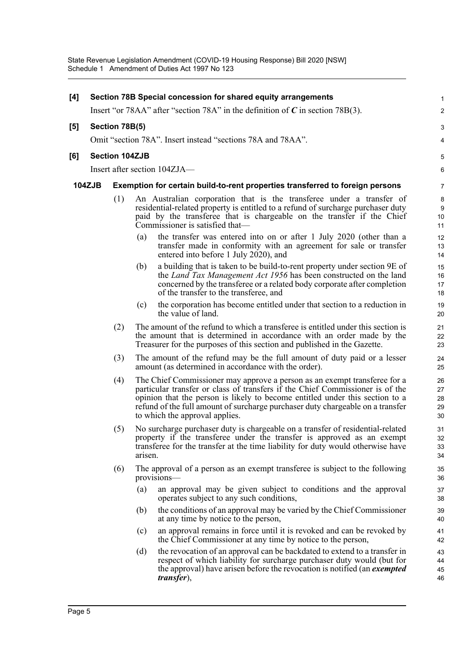| [4] | Section 78B Special concession for shared equity arrangements |     |                                                                                                                                                                                                                                                                                                                                                                                                                                                                                                                                                                                                                          |                                                                                                                                                                                                                                                                             |                                   |  |  |
|-----|---------------------------------------------------------------|-----|--------------------------------------------------------------------------------------------------------------------------------------------------------------------------------------------------------------------------------------------------------------------------------------------------------------------------------------------------------------------------------------------------------------------------------------------------------------------------------------------------------------------------------------------------------------------------------------------------------------------------|-----------------------------------------------------------------------------------------------------------------------------------------------------------------------------------------------------------------------------------------------------------------------------|-----------------------------------|--|--|
|     |                                                               |     |                                                                                                                                                                                                                                                                                                                                                                                                                                                                                                                                                                                                                          | Insert "or 78AA" after "section 78A" in the definition of $C$ in section 78B(3).                                                                                                                                                                                            | $\overline{c}$                    |  |  |
| [5] | Section 78B(5)                                                |     |                                                                                                                                                                                                                                                                                                                                                                                                                                                                                                                                                                                                                          |                                                                                                                                                                                                                                                                             |                                   |  |  |
|     |                                                               |     |                                                                                                                                                                                                                                                                                                                                                                                                                                                                                                                                                                                                                          | Omit "section 78A". Insert instead "sections 78A and 78AA".                                                                                                                                                                                                                 | 4                                 |  |  |
| [6] | <b>Section 104ZJB</b>                                         |     |                                                                                                                                                                                                                                                                                                                                                                                                                                                                                                                                                                                                                          |                                                                                                                                                                                                                                                                             |                                   |  |  |
|     | Insert after section 104ZJA—                                  |     |                                                                                                                                                                                                                                                                                                                                                                                                                                                                                                                                                                                                                          |                                                                                                                                                                                                                                                                             |                                   |  |  |
|     | <b>104ZJB</b>                                                 |     | Exemption for certain build-to-rent properties transferred to foreign persons                                                                                                                                                                                                                                                                                                                                                                                                                                                                                                                                            |                                                                                                                                                                                                                                                                             |                                   |  |  |
|     |                                                               | (1) |                                                                                                                                                                                                                                                                                                                                                                                                                                                                                                                                                                                                                          | An Australian corporation that is the transferee under a transfer of<br>residential-related property is entitled to a refund of surcharge purchaser duty<br>paid by the transferee that is chargeable on the transfer if the Chief<br>Commissioner is satisfied that—       | 8<br>$\boldsymbol{9}$<br>10<br>11 |  |  |
|     |                                                               |     | (a)                                                                                                                                                                                                                                                                                                                                                                                                                                                                                                                                                                                                                      | the transfer was entered into on or after 1 July 2020 (other than a<br>transfer made in conformity with an agreement for sale or transfer<br>entered into before 1 July 2020), and                                                                                          | 12<br>13<br>14                    |  |  |
|     |                                                               |     | (b)                                                                                                                                                                                                                                                                                                                                                                                                                                                                                                                                                                                                                      | a building that is taken to be build-to-rent property under section 9E of<br>the <i>Land Tax Management Act 1956</i> has been constructed on the land<br>concerned by the transferee or a related body corporate after completion<br>of the transfer to the transferee, and | 15<br>16<br>17<br>18              |  |  |
|     |                                                               |     | (c)                                                                                                                                                                                                                                                                                                                                                                                                                                                                                                                                                                                                                      | the corporation has become entitled under that section to a reduction in<br>the value of land.                                                                                                                                                                              | 19<br>20                          |  |  |
|     |                                                               | (2) | The amount of the refund to which a transferee is entitled under this section is<br>the amount that is determined in accordance with an order made by the<br>Treasurer for the purposes of this section and published in the Gazette.                                                                                                                                                                                                                                                                                                                                                                                    |                                                                                                                                                                                                                                                                             | 21<br>22<br>23                    |  |  |
|     |                                                               | (3) |                                                                                                                                                                                                                                                                                                                                                                                                                                                                                                                                                                                                                          | The amount of the refund may be the full amount of duty paid or a lesser<br>amount (as determined in accordance with the order).                                                                                                                                            | 24<br>25                          |  |  |
|     |                                                               | (4) | The Chief Commissioner may approve a person as an exempt transferee for a<br>particular transfer or class of transfers if the Chief Commissioner is of the<br>opinion that the person is likely to become entitled under this section to a<br>refund of the full amount of surcharge purchaser duty chargeable on a transfer<br>to which the approval applies.<br>No surcharge purchaser duty is chargeable on a transfer of residential-related<br>property if the transferee under the transfer is approved as an exempt<br>transferee for the transfer at the time liability for duty would otherwise have<br>arisen. |                                                                                                                                                                                                                                                                             | 26<br>27<br>28<br>29<br>30        |  |  |
|     |                                                               | (5) |                                                                                                                                                                                                                                                                                                                                                                                                                                                                                                                                                                                                                          |                                                                                                                                                                                                                                                                             | 31<br>32<br>33<br>34              |  |  |
|     |                                                               | (6) |                                                                                                                                                                                                                                                                                                                                                                                                                                                                                                                                                                                                                          | The approval of a person as an exempt transferee is subject to the following<br>provisions-                                                                                                                                                                                 | 35<br>36                          |  |  |
|     |                                                               |     | (a)                                                                                                                                                                                                                                                                                                                                                                                                                                                                                                                                                                                                                      | an approval may be given subject to conditions and the approval<br>operates subject to any such conditions,                                                                                                                                                                 | 37<br>38                          |  |  |
|     |                                                               |     | (b)                                                                                                                                                                                                                                                                                                                                                                                                                                                                                                                                                                                                                      | the conditions of an approval may be varied by the Chief Commissioner<br>at any time by notice to the person,                                                                                                                                                               | 39<br>40                          |  |  |
|     |                                                               |     | (c)                                                                                                                                                                                                                                                                                                                                                                                                                                                                                                                                                                                                                      | an approval remains in force until it is revoked and can be revoked by<br>the Chief Commissioner at any time by notice to the person,                                                                                                                                       | 41<br>42                          |  |  |
|     |                                                               |     | (d)                                                                                                                                                                                                                                                                                                                                                                                                                                                                                                                                                                                                                      | the revocation of an approval can be backdated to extend to a transfer in<br>respect of which liability for surcharge purchaser duty would (but for<br>the approval) have arisen before the revocation is notified (an exempted<br><i>transfer</i> ),                       | 43<br>44<br>45<br>46              |  |  |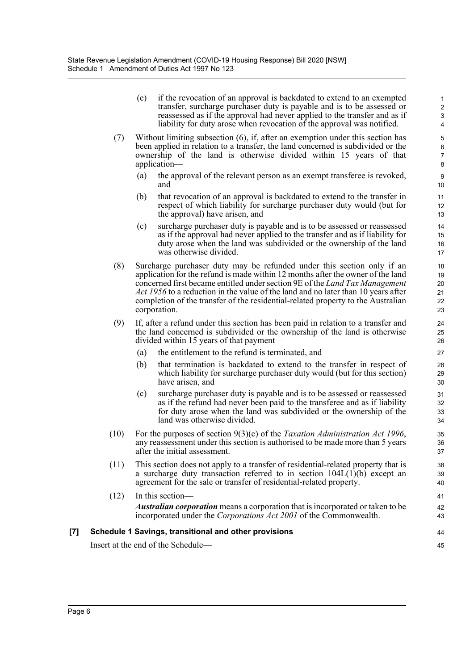(e) if the revocation of an approval is backdated to extend to an exempted transfer, surcharge purchaser duty is payable and is to be assessed or reassessed as if the approval had never applied to the transfer and as if liability for duty arose when revocation of the approval was notified.

- (7) Without limiting subsection (6), if, after an exemption under this section has been applied in relation to a transfer, the land concerned is subdivided or the ownership of the land is otherwise divided within 15 years of that application—
	- (a) the approval of the relevant person as an exempt transferee is revoked, and
	- (b) that revocation of an approval is backdated to extend to the transfer in respect of which liability for surcharge purchaser duty would (but for the approval) have arisen, and
	- (c) surcharge purchaser duty is payable and is to be assessed or reassessed as if the approval had never applied to the transfer and as if liability for duty arose when the land was subdivided or the ownership of the land was otherwise divided.
- (8) Surcharge purchaser duty may be refunded under this section only if an application for the refund is made within 12 months after the owner of the land concerned first became entitled under section 9E of the *Land Tax Management Act 1956* to a reduction in the value of the land and no later than 10 years after completion of the transfer of the residential-related property to the Australian corporation.
- (9) If, after a refund under this section has been paid in relation to a transfer and the land concerned is subdivided or the ownership of the land is otherwise divided within 15 years of that payment—
	- (a) the entitlement to the refund is terminated, and
	- (b) that termination is backdated to extend to the transfer in respect of which liability for surcharge purchaser duty would (but for this section) have arisen, and
	- (c) surcharge purchaser duty is payable and is to be assessed or reassessed as if the refund had never been paid to the transferee and as if liability for duty arose when the land was subdivided or the ownership of the land was otherwise divided.
- (10) For the purposes of section 9(3)(c) of the *Taxation Administration Act 1996*, any reassessment under this section is authorised to be made more than 5 years after the initial assessment.
- (11) This section does not apply to a transfer of residential-related property that is a surcharge duty transaction referred to in section  $104L(1)(b)$  except an agreement for the sale or transfer of residential-related property.
- (12) In this section— *Australian corporation* means a corporation that is incorporated or taken to be incorporated under the *Corporations Act 2001* of the Commonwealth.

### **[7] Schedule 1 Savings, transitional and other provisions**

Insert at the end of the Schedule—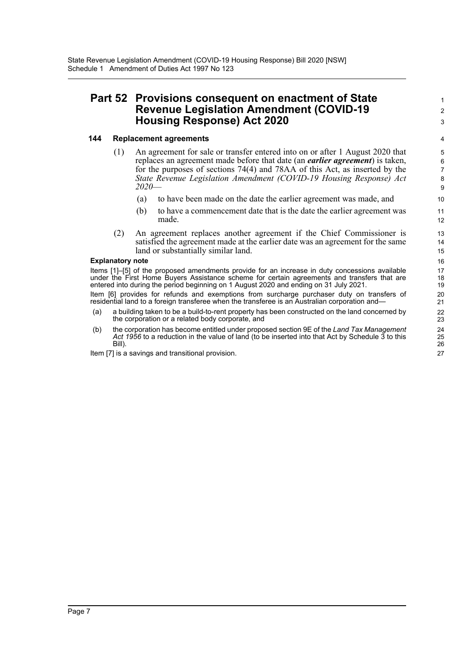### **Part 52 Provisions consequent on enactment of State Revenue Legislation Amendment (COVID-19 Housing Response) Act 2020**

#### **144 Replacement agreements**

- (1) An agreement for sale or transfer entered into on or after 1 August 2020 that replaces an agreement made before that date (an *earlier agreement*) is taken, for the purposes of sections 74(4) and 78AA of this Act, as inserted by the *State Revenue Legislation Amendment (COVID-19 Housing Response) Act 2020*—
	- (a) to have been made on the date the earlier agreement was made, and
	- (b) to have a commencement date that is the date the earlier agreement was made.
- (2) An agreement replaces another agreement if the Chief Commissioner is satisfied the agreement made at the earlier date was an agreement for the same land or substantially similar land.

#### **Explanatory note**

Items [1]–[5] of the proposed amendments provide for an increase in duty concessions available under the First Home Buyers Assistance scheme for certain agreements and transfers that are entered into during the period beginning on 1 August 2020 and ending on 31 July 2021.

Item [6] provides for refunds and exemptions from surcharge purchaser duty on transfers of residential land to a foreign transferee when the transferee is an Australian corporation and-

- (a) a building taken to be a build-to-rent property has been constructed on the land concerned by the corporation or a related body corporate, and
- (b) the corporation has become entitled under proposed section 9E of the *Land Tax Management Act 1956* to a reduction in the value of land (to be inserted into that Act by Schedule 3 to this Bill).

Item [7] is a savings and transitional provision.

1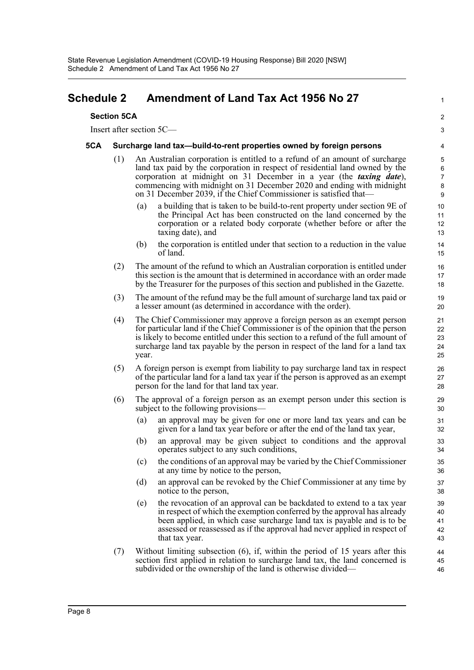### <span id="page-10-0"></span>**Schedule 2 Amendment of Land Tax Act 1956 No 27**

#### **Section 5CA**

Insert after section 5C—

#### **5CA Surcharge land tax—build-to-rent properties owned by foreign persons**

- (1) An Australian corporation is entitled to a refund of an amount of surcharge land tax paid by the corporation in respect of residential land owned by the corporation at midnight on 31 December in a year (the *taxing date*), commencing with midnight on 31 December 2020 and ending with midnight on 31 December 2039, if the Chief Commissioner is satisfied that—
	- (a) a building that is taken to be build-to-rent property under section 9E of the Principal Act has been constructed on the land concerned by the corporation or a related body corporate (whether before or after the taxing date), and

1

- (b) the corporation is entitled under that section to a reduction in the value of land.
- (2) The amount of the refund to which an Australian corporation is entitled under this section is the amount that is determined in accordance with an order made by the Treasurer for the purposes of this section and published in the Gazette.
- (3) The amount of the refund may be the full amount of surcharge land tax paid or a lesser amount (as determined in accordance with the order).
- (4) The Chief Commissioner may approve a foreign person as an exempt person for particular land if the Chief Commissioner is of the opinion that the person is likely to become entitled under this section to a refund of the full amount of surcharge land tax payable by the person in respect of the land for a land tax year.
- (5) A foreign person is exempt from liability to pay surcharge land tax in respect of the particular land for a land tax year if the person is approved as an exempt person for the land for that land tax year.
- (6) The approval of a foreign person as an exempt person under this section is subject to the following provisions—
	- (a) an approval may be given for one or more land tax years and can be given for a land tax year before or after the end of the land tax year,
	- (b) an approval may be given subject to conditions and the approval operates subject to any such conditions,
	- (c) the conditions of an approval may be varied by the Chief Commissioner at any time by notice to the person,
	- (d) an approval can be revoked by the Chief Commissioner at any time by notice to the person,
	- (e) the revocation of an approval can be backdated to extend to a tax year in respect of which the exemption conferred by the approval has already been applied, in which case surcharge land tax is payable and is to be assessed or reassessed as if the approval had never applied in respect of that tax year.
- (7) Without limiting subsection (6), if, within the period of 15 years after this section first applied in relation to surcharge land tax, the land concerned is subdivided or the ownership of the land is otherwise divided—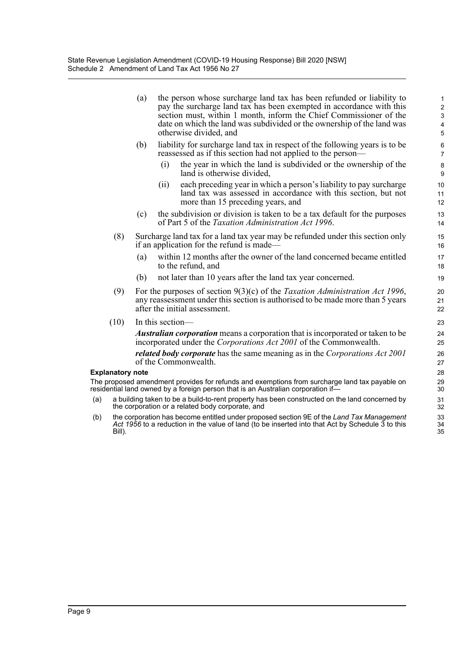(a) the person whose surcharge land tax has been refunded or liability to pay the surcharge land tax has been exempted in accordance with this section must, within 1 month, inform the Chief Commissioner of the date on which the land was subdivided or the ownership of the land was otherwise divided, and

- (b) liability for surcharge land tax in respect of the following years is to be reassessed as if this section had not applied to the person—
	- (i) the year in which the land is subdivided or the ownership of the land is otherwise divided,
	- (ii) each preceding year in which a person's liability to pay surcharge land tax was assessed in accordance with this section, but not more than 15 preceding years, and
- (c) the subdivision or division is taken to be a tax default for the purposes of Part 5 of the *Taxation Administration Act 1996*.
- (8) Surcharge land tax for a land tax year may be refunded under this section only if an application for the refund is made—
	- (a) within 12 months after the owner of the land concerned became entitled to the refund, and
	- (b) not later than 10 years after the land tax year concerned.
- (9) For the purposes of section 9(3)(c) of the *Taxation Administration Act 1996*, any reassessment under this section is authorised to be made more than 5 years after the initial assessment.
- (10) In this section—

*Australian corporation* means a corporation that is incorporated or taken to be incorporated under the *Corporations Act 2001* of the Commonwealth.

*related body corporate* has the same meaning as in the *Corporations Act 2001* of the Commonwealth.

#### **Explanatory note**

The proposed amendment provides for refunds and exemptions from surcharge land tax payable on residential land owned by a foreign person that is an Australian corporation if—

- (a) a building taken to be a build-to-rent property has been constructed on the land concerned by the corporation or a related body corporate, and
- (b) the corporation has become entitled under proposed section 9E of the *Land Tax Management Act 1956* to a reduction in the value of land (to be inserted into that Act by Schedule 3 to this Bill).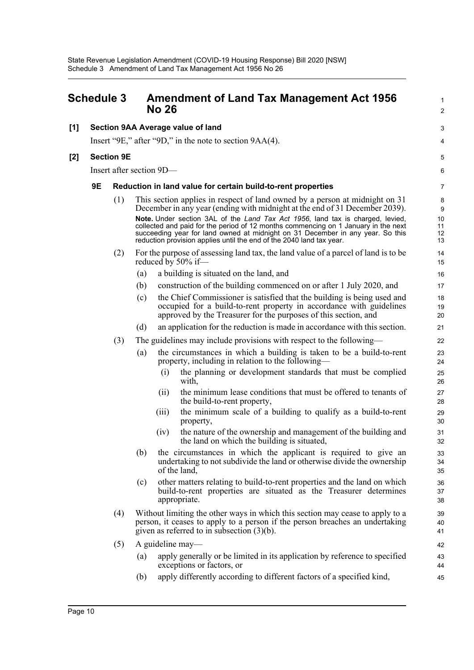<span id="page-12-0"></span>

| <b>Schedule 3</b> |    |                   | <b>Amendment of Land Tax Management Act 1956</b><br><b>No 26</b> | 1<br>$\overline{a}$                                                                                                                                                                                                                                                                                                                                                                                                                                                                          |                                |
|-------------------|----|-------------------|------------------------------------------------------------------|----------------------------------------------------------------------------------------------------------------------------------------------------------------------------------------------------------------------------------------------------------------------------------------------------------------------------------------------------------------------------------------------------------------------------------------------------------------------------------------------|--------------------------------|
| [1]               |    |                   |                                                                  | Section 9AA Average value of land                                                                                                                                                                                                                                                                                                                                                                                                                                                            | 3                              |
|                   |    |                   |                                                                  | Insert "9E," after "9D," in the note to section 9AA(4).                                                                                                                                                                                                                                                                                                                                                                                                                                      | 4                              |
| [2]               |    | <b>Section 9E</b> |                                                                  |                                                                                                                                                                                                                                                                                                                                                                                                                                                                                              | 5                              |
|                   |    |                   |                                                                  | Insert after section 9D-                                                                                                                                                                                                                                                                                                                                                                                                                                                                     | 6                              |
|                   | 9E |                   |                                                                  | Reduction in land value for certain build-to-rent properties                                                                                                                                                                                                                                                                                                                                                                                                                                 | 7                              |
|                   |    | (1)               |                                                                  | This section applies in respect of land owned by a person at midnight on 31<br>December in any year (ending with midnight at the end of 31 December 2039).<br>Note. Under section 3AL of the Land Tax Act 1956, land tax is charged, levied,<br>collected and paid for the period of 12 months commencing on 1 January in the next<br>succeeding year for land owned at midnight on 31 December in any year. So this<br>reduction provision applies until the end of the 2040 land tax year. | 8<br>9<br>10<br>11<br>12<br>13 |
|                   |    | (2)               |                                                                  | For the purpose of assessing land tax, the land value of a parcel of land is to be<br>reduced by 50% if-                                                                                                                                                                                                                                                                                                                                                                                     | 14<br>15                       |
|                   |    |                   | (a)                                                              | a building is situated on the land, and                                                                                                                                                                                                                                                                                                                                                                                                                                                      | 16                             |
|                   |    |                   | (b)                                                              | construction of the building commenced on or after 1 July 2020, and                                                                                                                                                                                                                                                                                                                                                                                                                          | 17                             |
|                   |    |                   | (c)                                                              | the Chief Commissioner is satisfied that the building is being used and<br>occupied for a build-to-rent property in accordance with guidelines<br>approved by the Treasurer for the purposes of this section, and                                                                                                                                                                                                                                                                            | 18<br>19<br>20                 |
|                   |    |                   | (d)                                                              | an application for the reduction is made in accordance with this section.                                                                                                                                                                                                                                                                                                                                                                                                                    | 21                             |
|                   |    | (3)               |                                                                  | The guidelines may include provisions with respect to the following—                                                                                                                                                                                                                                                                                                                                                                                                                         | 22                             |
|                   |    |                   | (a)                                                              | the circumstances in which a building is taken to be a build-to-rent<br>property, including in relation to the following—                                                                                                                                                                                                                                                                                                                                                                    | 23<br>24                       |
|                   |    |                   |                                                                  | the planning or development standards that must be complied<br>(i)<br>with,                                                                                                                                                                                                                                                                                                                                                                                                                  | 25<br>26                       |
|                   |    |                   |                                                                  | the minimum lease conditions that must be offered to tenants of<br>(11)<br>the build-to-rent property,                                                                                                                                                                                                                                                                                                                                                                                       | 27<br>28                       |
|                   |    |                   |                                                                  | the minimum scale of a building to qualify as a build-to-rent<br>(111)<br>property,                                                                                                                                                                                                                                                                                                                                                                                                          | 29<br>30                       |
|                   |    |                   |                                                                  | the nature of the ownership and management of the building and<br>(iv)<br>the land on which the building is situated,                                                                                                                                                                                                                                                                                                                                                                        | 31<br>32                       |
|                   |    |                   | (b)                                                              | the circumstances in which the applicant is required to give an<br>undertaking to not subdivide the land or otherwise divide the ownership<br>of the land,                                                                                                                                                                                                                                                                                                                                   | 33<br>34<br>35                 |
|                   |    |                   | (c)                                                              | other matters relating to build-to-rent properties and the land on which<br>build-to-rent properties are situated as the Treasurer determines<br>appropriate.                                                                                                                                                                                                                                                                                                                                | 36<br>37<br>38                 |
|                   |    | (4)               |                                                                  | Without limiting the other ways in which this section may cease to apply to a<br>person, it ceases to apply to a person if the person breaches an undertaking<br>given as referred to in subsection $(3)(b)$ .                                                                                                                                                                                                                                                                               | 39<br>40<br>41                 |
|                   |    | (5)               |                                                                  | A guideline may—                                                                                                                                                                                                                                                                                                                                                                                                                                                                             | 42                             |
|                   |    |                   | (a)                                                              | apply generally or be limited in its application by reference to specified<br>exceptions or factors, or                                                                                                                                                                                                                                                                                                                                                                                      | 43<br>44                       |
|                   |    |                   | (b)                                                              | apply differently according to different factors of a specified kind,                                                                                                                                                                                                                                                                                                                                                                                                                        | 45                             |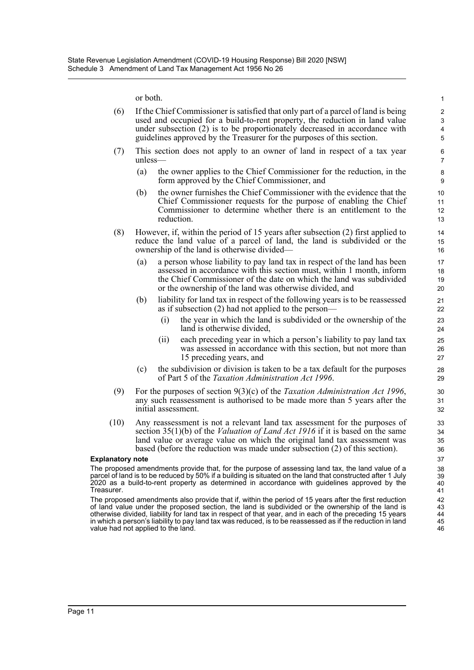or both.

|                                                                                                                                                                                                                                                                                                                                                                                                                                                                                       | or both.                                                                                                                                                                                                                                                                                                                         |                                                                                                                                                                                                               |                                                                                                                                                                                                                                                                                                                |                      |  |
|---------------------------------------------------------------------------------------------------------------------------------------------------------------------------------------------------------------------------------------------------------------------------------------------------------------------------------------------------------------------------------------------------------------------------------------------------------------------------------------|----------------------------------------------------------------------------------------------------------------------------------------------------------------------------------------------------------------------------------------------------------------------------------------------------------------------------------|---------------------------------------------------------------------------------------------------------------------------------------------------------------------------------------------------------------|----------------------------------------------------------------------------------------------------------------------------------------------------------------------------------------------------------------------------------------------------------------------------------------------------------------|----------------------|--|
| (6)                                                                                                                                                                                                                                                                                                                                                                                                                                                                                   | If the Chief Commissioner is satisfied that only part of a parcel of land is being<br>used and occupied for a build-to-rent property, the reduction in land value<br>under subsection (2) is to be proportionately decreased in accordance with<br>guidelines approved by the Treasurer for the purposes of this section.        |                                                                                                                                                                                                               |                                                                                                                                                                                                                                                                                                                |                      |  |
| (7)                                                                                                                                                                                                                                                                                                                                                                                                                                                                                   | This section does not apply to an owner of land in respect of a tax year<br>$unless$ —                                                                                                                                                                                                                                           |                                                                                                                                                                                                               |                                                                                                                                                                                                                                                                                                                |                      |  |
|                                                                                                                                                                                                                                                                                                                                                                                                                                                                                       | (a)                                                                                                                                                                                                                                                                                                                              |                                                                                                                                                                                                               | the owner applies to the Chief Commissioner for the reduction, in the<br>form approved by the Chief Commissioner, and                                                                                                                                                                                          | 8<br>$9\,$           |  |
|                                                                                                                                                                                                                                                                                                                                                                                                                                                                                       | (b)                                                                                                                                                                                                                                                                                                                              | reduction.                                                                                                                                                                                                    | the owner furnishes the Chief Commissioner with the evidence that the<br>Chief Commissioner requests for the purpose of enabling the Chief<br>Commissioner to determine whether there is an entitlement to the                                                                                                 | 10<br>11<br>12<br>13 |  |
| (8)                                                                                                                                                                                                                                                                                                                                                                                                                                                                                   |                                                                                                                                                                                                                                                                                                                                  | However, if, within the period of 15 years after subsection $(2)$ first applied to<br>reduce the land value of a parcel of land, the land is subdivided or the<br>ownership of the land is otherwise divided- |                                                                                                                                                                                                                                                                                                                |                      |  |
|                                                                                                                                                                                                                                                                                                                                                                                                                                                                                       | (a)                                                                                                                                                                                                                                                                                                                              |                                                                                                                                                                                                               | a person whose liability to pay land tax in respect of the land has been<br>assessed in accordance with this section must, within 1 month, inform<br>the Chief Commissioner of the date on which the land was subdivided<br>or the ownership of the land was otherwise divided, and                            | 17<br>18<br>19<br>20 |  |
|                                                                                                                                                                                                                                                                                                                                                                                                                                                                                       | (b)                                                                                                                                                                                                                                                                                                                              |                                                                                                                                                                                                               | liability for land tax in respect of the following years is to be reassessed<br>as if subsection (2) had not applied to the person—                                                                                                                                                                            | 21<br>22             |  |
|                                                                                                                                                                                                                                                                                                                                                                                                                                                                                       |                                                                                                                                                                                                                                                                                                                                  | (i)                                                                                                                                                                                                           | the year in which the land is subdivided or the ownership of the<br>land is otherwise divided,                                                                                                                                                                                                                 | 23<br>24             |  |
|                                                                                                                                                                                                                                                                                                                                                                                                                                                                                       |                                                                                                                                                                                                                                                                                                                                  | (i)                                                                                                                                                                                                           | each preceding year in which a person's liability to pay land tax<br>was assessed in accordance with this section, but not more than<br>15 preceding years, and                                                                                                                                                | 25<br>26<br>27       |  |
|                                                                                                                                                                                                                                                                                                                                                                                                                                                                                       | (c)                                                                                                                                                                                                                                                                                                                              |                                                                                                                                                                                                               | the subdivision or division is taken to be a tax default for the purposes<br>of Part 5 of the <i>Taxation Administration Act 1996</i> .                                                                                                                                                                        | 28<br>29             |  |
| (9)                                                                                                                                                                                                                                                                                                                                                                                                                                                                                   |                                                                                                                                                                                                                                                                                                                                  |                                                                                                                                                                                                               | For the purposes of section $9(3)(c)$ of the Taxation Administration Act 1996,<br>any such reassessment is authorised to be made more than 5 years after the<br>initial assessment.                                                                                                                            | 30<br>31<br>32       |  |
| (10)                                                                                                                                                                                                                                                                                                                                                                                                                                                                                  | Any reassessment is not a relevant land tax assessment for the purposes of<br>section $35(1)(b)$ of the <i>Valuation of Land Act 1916</i> if it is based on the same<br>land value or average value on which the original land tax assessment was<br>based (before the reduction was made under subsection (2) of this section). |                                                                                                                                                                                                               |                                                                                                                                                                                                                                                                                                                |                      |  |
| <b>Explanatory note</b>                                                                                                                                                                                                                                                                                                                                                                                                                                                               |                                                                                                                                                                                                                                                                                                                                  |                                                                                                                                                                                                               |                                                                                                                                                                                                                                                                                                                | 37                   |  |
| Treasurer.                                                                                                                                                                                                                                                                                                                                                                                                                                                                            |                                                                                                                                                                                                                                                                                                                                  |                                                                                                                                                                                                               | The proposed amendments provide that, for the purpose of assessing land tax, the land value of a<br>parcel of land is to be reduced by 50% if a building is situated on the land that constructed after 1 July<br>2020 as a build-to-rent property as determined in accordance with guidelines approved by the | 38<br>39<br>40<br>41 |  |
| The proposed amendments also provide that if, within the period of 15 years after the first reduction<br>42<br>of land value under the proposed section, the land is subdivided or the ownership of the land is<br>otherwise divided, liability for land tax in respect of that year, and in each of the preceding 15 years<br>in which a person's liability to pay land tax was reduced, is to be reassessed as if the reduction in land<br>45<br>value had not applied to the land. |                                                                                                                                                                                                                                                                                                                                  |                                                                                                                                                                                                               |                                                                                                                                                                                                                                                                                                                |                      |  |
|                                                                                                                                                                                                                                                                                                                                                                                                                                                                                       |                                                                                                                                                                                                                                                                                                                                  |                                                                                                                                                                                                               |                                                                                                                                                                                                                                                                                                                |                      |  |